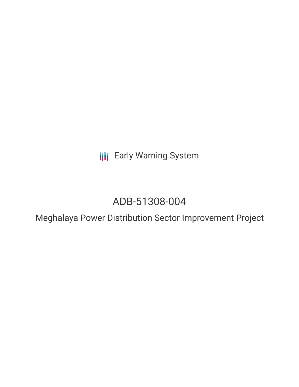**III** Early Warning System

# ADB-51308-004

Meghalaya Power Distribution Sector Improvement Project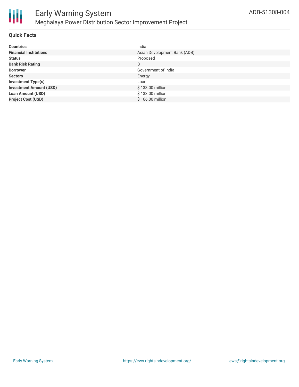

#### **Quick Facts**

| <b>Countries</b>               | India                        |
|--------------------------------|------------------------------|
| <b>Financial Institutions</b>  | Asian Development Bank (ADB) |
| <b>Status</b>                  | Proposed                     |
| <b>Bank Risk Rating</b>        | B                            |
| <b>Borrower</b>                | Government of India          |
| <b>Sectors</b>                 | Energy                       |
| <b>Investment Type(s)</b>      | Loan                         |
| <b>Investment Amount (USD)</b> | \$133.00 million             |
| <b>Loan Amount (USD)</b>       | \$133.00 million             |
| <b>Project Cost (USD)</b>      | $$166.00$ million            |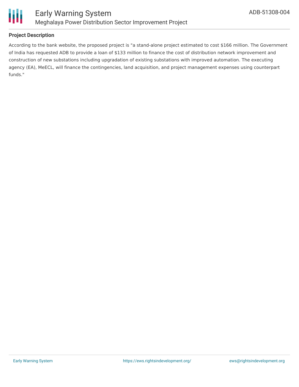

#### **Project Description**

According to the bank website, the proposed project is "a stand-alone project estimated to cost \$166 million. The Government of India has requested ADB to provide a loan of \$133 million to finance the cost of distribution network improvement and construction of new substations including upgradation of existing substations with improved automation. The executing agency (EA), MeECL, will finance the contingencies, land acquisition, and project management expenses using counterpart funds."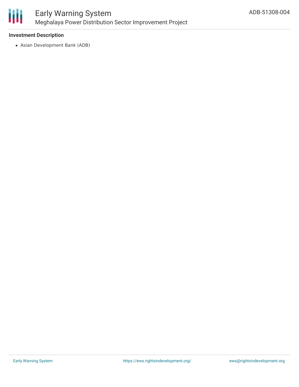

#### **Investment Description**

Asian Development Bank (ADB)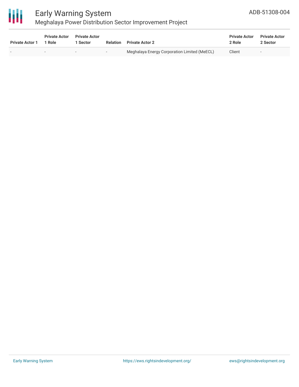

## Early Warning System

## Meghalaya Power Distribution Sector Improvement Project

| <b>Private Actor 1</b> | <b>Private Actor</b><br>1 Role | <b>Private Actor</b><br><b>Sector</b> | <b>Relation</b> | <b>Private Actor 2</b>                       | <b>Private Actor</b><br>2 Role | <b>Private Actor</b><br>2 Sector |
|------------------------|--------------------------------|---------------------------------------|-----------------|----------------------------------------------|--------------------------------|----------------------------------|
|                        | $\overline{\phantom{0}}$       |                                       | $\sim$          | Meghalaya Energy Corporation Limited (MeECL) | Client                         | $\overline{\phantom{0}}$         |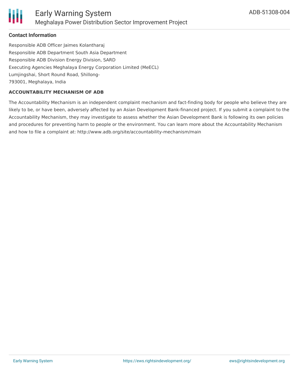

#### **Contact Information**

Responsible ADB Officer Jaimes Kolantharaj Responsible ADB Department South Asia Department Responsible ADB Division Energy Division, SARD Executing Agencies Meghalaya Energy Corporation Limited (MeECL) Lumjingshai, Short Round Road, Shillong-793001, Meghalaya, India

#### **ACCOUNTABILITY MECHANISM OF ADB**

The Accountability Mechanism is an independent complaint mechanism and fact-finding body for people who believe they are likely to be, or have been, adversely affected by an Asian Development Bank-financed project. If you submit a complaint to the Accountability Mechanism, they may investigate to assess whether the Asian Development Bank is following its own policies and procedures for preventing harm to people or the environment. You can learn more about the Accountability Mechanism and how to file a complaint at: http://www.adb.org/site/accountability-mechanism/main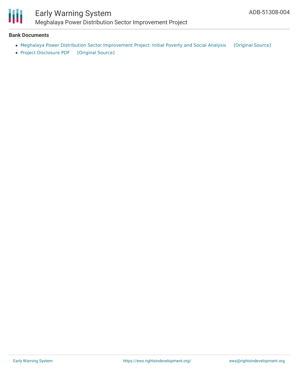

### Early Warning System Meghalaya Power Distribution Sector Improvement Project

#### **Bank Documents**

- Meghalaya Power Distribution Sector [Improvement](https://ewsdata.rightsindevelopment.org/files/documents/04/ADB-51308-004_NYkhtke.pdf) Project: Initial Poverty and Social Analysis [\[Original](https://www.adb.org/projects/documents/ind-51308-004-ipsa) Source]
- Project [Disclosure](https://ewsdata.rightsindevelopment.org/files/documents/04/ADB-51308-004.pdf) PDF [\[Original](https://www.adb.org/printpdf/projects/51308-004/main) Source]